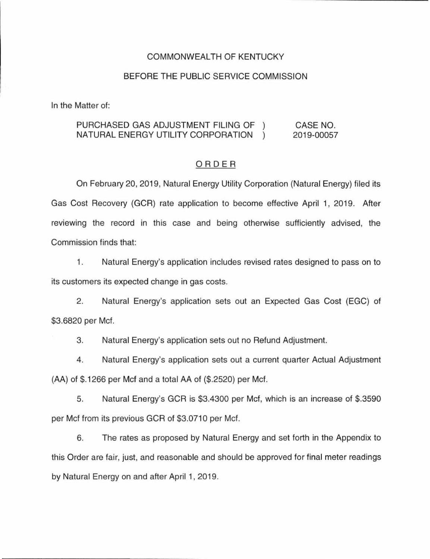## COMMONWEALTH OF KENTUCKY

### BEFORE THE PUBLIC SERVICE COMMISSION

In the Matter of:

#### PURCHASED GAS ADJUSTMENT FILING OF NATURAL ENERGY UTILITY CORPORATION CASE NO. 2019-00057

## ORDER

On February 20, 2019, Natural Energy Utility Corporation (Natural Energy) filed its Gas Cost Recovery (GCR) rate application to become effective April 1, 2019. After reviewing the record in this case and being otherwise sufficiently advised, the Commission finds that:

1. Natural Energy's application includes revised rates designed to pass on to its customers its expected change in gas costs.

2. Natural Energy's application sets out an Expected Gas Cost (EGC) of \$3.6820 per Mcf.

3. Natural Energy's application sets out no Refund Adjustment.

4. Natural Energy's application sets out a current quarter Actual Adjustment (AA) of \$.1266 per Mcf and a total AA of (\$.2520) per Mcf.

5. Natural Energy's GCR is \$3.4300 per Mcf, which is an increase of \$.3590 per Mcf from its previous GCR of \$3.0710 per Mcf.

6. The rates as proposed by Natural Energy and set forth in the Appendix to this Order are fair, just, and reasonable and should be approved for final meter readings by Natural Energy on and after April 1, 2019.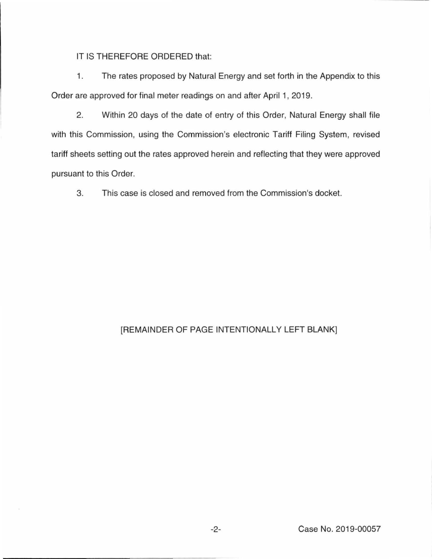IT IS THEREFORE ORDERED that:

1. The rates proposed by Natural Energy and set forth in the Appendix to this Order are approved for final meter readings on and after April 1, 2019.

2. Within 20 days of the date of entry of this Order, Natural Energy shall file with this Commission, using the Commission's electronic Tariff Filing System, revised tariff sheets setting out the rates approved herein and reflecting that they were approved pursuant to this Order.

3. This case is closed and removed from the Commission's docket.

# [REMAINDER OF PAGE INTENTIONALLY LEFT BLANK]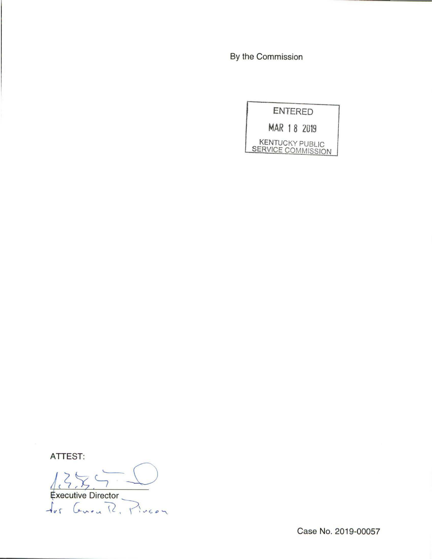By the Commission

**ENTERED** 

MAR 18 2019

KENTUCKY PUBLIC<br>SERVICE COMMISSION

ATTEST:

Frecutive Director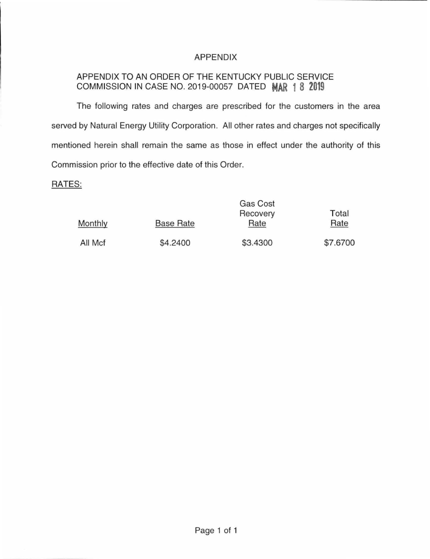# APPENDIX

# APPENDIX TO AN ORDER OF THE KENTUCKY PUBLIC SERVICE COMMISSION IN CASE NO. 2019-00057 DATED **MAR 1 8 2019**

The following rates and charges are prescribed for the customers in the area served by Natural Energy Utility Corporation. All other rates and charges not specifically mentioned herein shall remain the same as those in effect under the authority of this Commission prior to the effective date of this Order.

## RATES:

|         | Gas Cost         |          |          |
|---------|------------------|----------|----------|
|         |                  | Recovery | Total    |
| Monthly | <b>Base Rate</b> | Rate     | Rate     |
| All Mcf | \$4.2400         | \$3.4300 | \$7.6700 |